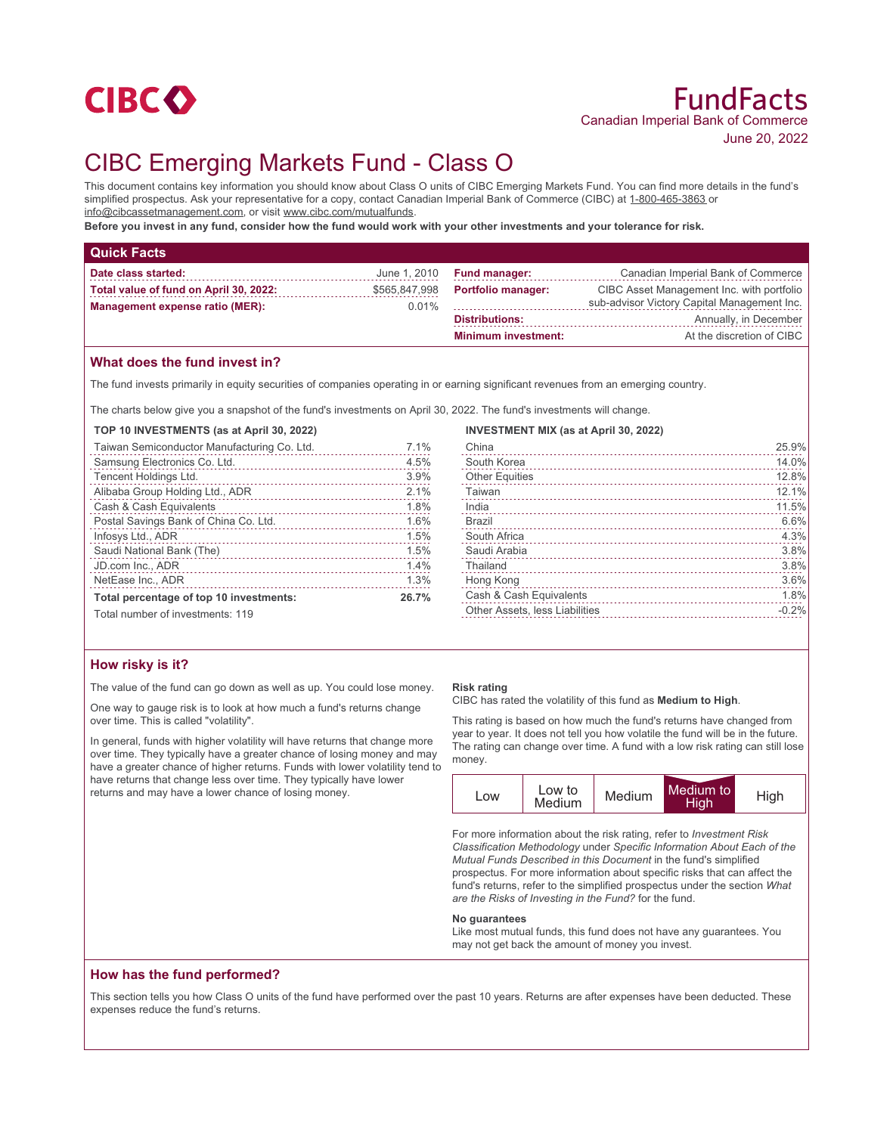

# CIBC Emerging Markets Fund - Class O

This document contains key information you should know about Class O units of CIBC Emerging Markets Fund. You can find more details in the fund's simplified prospectus. Ask your representative for a copy, contact Canadian Imperial Bank of Commerce (CIBC) at 1-800-465-3863 or info@cibcassetmanagement.com, or visit www.cibc.com/mutualfunds.

**Before you invest in any fund, consider how the fund would work with your other investments and your tolerance for risk.**

| <b>Quick Facts</b>                                                        |                           |                            |                                                                                          |
|---------------------------------------------------------------------------|---------------------------|----------------------------|------------------------------------------------------------------------------------------|
| Date class started:                                                       | June 1, 2010              | <b>Fund manager:</b>       | Canadian Imperial Bank of Commerce                                                       |
| Total value of fund on April 30, 2022:<br>Management expense ratio (MER): | \$565,847,998<br>$0.01\%$ | <b>Portfolio manager:</b>  | CIBC Asset Management Inc. with portfolio<br>sub-advisor Victory Capital Management Inc. |
|                                                                           |                           | <b>Distributions:</b>      | Annually, in December                                                                    |
|                                                                           |                           | <b>Minimum investment:</b> | At the discretion of CIBC                                                                |
|                                                                           |                           |                            |                                                                                          |

## **What does the fund invest in?**

The fund invests primarily in equity securities of companies operating in or earning significant revenues from an emerging country.

The charts below give you a snapshot of the fund's investments on April 30, 2022. The fund's investments will change.

| TOP 10 INVESTMENTS (as at April 30, 2022)   |           |
|---------------------------------------------|-----------|
| Taiwan Semiconductor Manufacturing Co. Ltd. | 7.1%<br>. |
| Samsung Electronics Co. Ltd.                | 4.5%      |
| Tencent Holdings Ltd.                       | 3.9%      |
| Alibaba Group Holding Ltd., ADR             | 2.1%      |
| Cash & Cash Equivalents                     | 1.8%      |
| Postal Savings Bank of China Co. Ltd.       | 1.6%      |
| Infosys Ltd., ADR                           | 1.5%      |
|                                             | 1.5%      |
| JD.com Inc., ADR                            | 1.4%      |
| NetEase Inc., ADR                           | 1.3%      |
| Total percentage of top 10 investments:     | 26.7%     |
| Total number of investments: 119            |           |

## **How risky is it?**

The value of the fund can go down as well as up. You could lose money.

One way to gauge risk is to look at how much a fund's returns change over time. This is called "volatility".

In general, funds with higher volatility will have returns that change more over time. They typically have a greater chance of losing money and may have a greater chance of higher returns. Funds with lower volatility tend to have returns that change less over time. They typically have lower returns and may have a lower chance of losing money.

#### **Risk rating**

CIBC has rated the volatility of this fund as **Medium to High**.

This rating is based on how much the fund's returns have changed from year to year. It does not tell you how volatile the fund will be in the future. The rating can change over time. A fund with a low risk rating can still lose money.

| LOW | Low to<br>Medium | Medium | Medium to<br>High | High |
|-----|------------------|--------|-------------------|------|
|-----|------------------|--------|-------------------|------|

For more information about the risk rating, refer to *Investment Risk Classification Methodology* under *Specific Information About Each of the Mutual Funds Described in this Document* in the fund's simplified prospectus. For more information about specific risks that can affect the fund's returns, refer to the simplified prospectus under the section *What are the Risks of Investing in the Fund?* for the fund.

#### **No guarantees**

Like most mutual funds, this fund does not have any guarantees. You may not get back the amount of money you invest.

## **How has the fund performed?**

This section tells you how Class O units of the fund have performed over the past 10 years. Returns are after expenses have been deducted. These expenses reduce the fund's returns.

| <b>INVESTMENT MIX (as at April 30, 2022)</b> |         |
|----------------------------------------------|---------|
| China                                        | 25.9%   |
| South Korea                                  | 14.0%   |
| <b>Other Equities</b>                        | 12.8%   |
| Taiwan                                       | 12.1%   |
| India                                        | 11.5%   |
| Brazil                                       | 6.6%    |
| South Africa                                 | 4.3%    |
| Saudi Arabia                                 | 3.8%    |
| Thailand                                     | 3.8%    |
| Hong Kong                                    | 3.6%    |
| Cash & Cash Equivalents                      | 1.8%    |
| Other Assets, less Liabilities               | $-0.2%$ |
|                                              |         |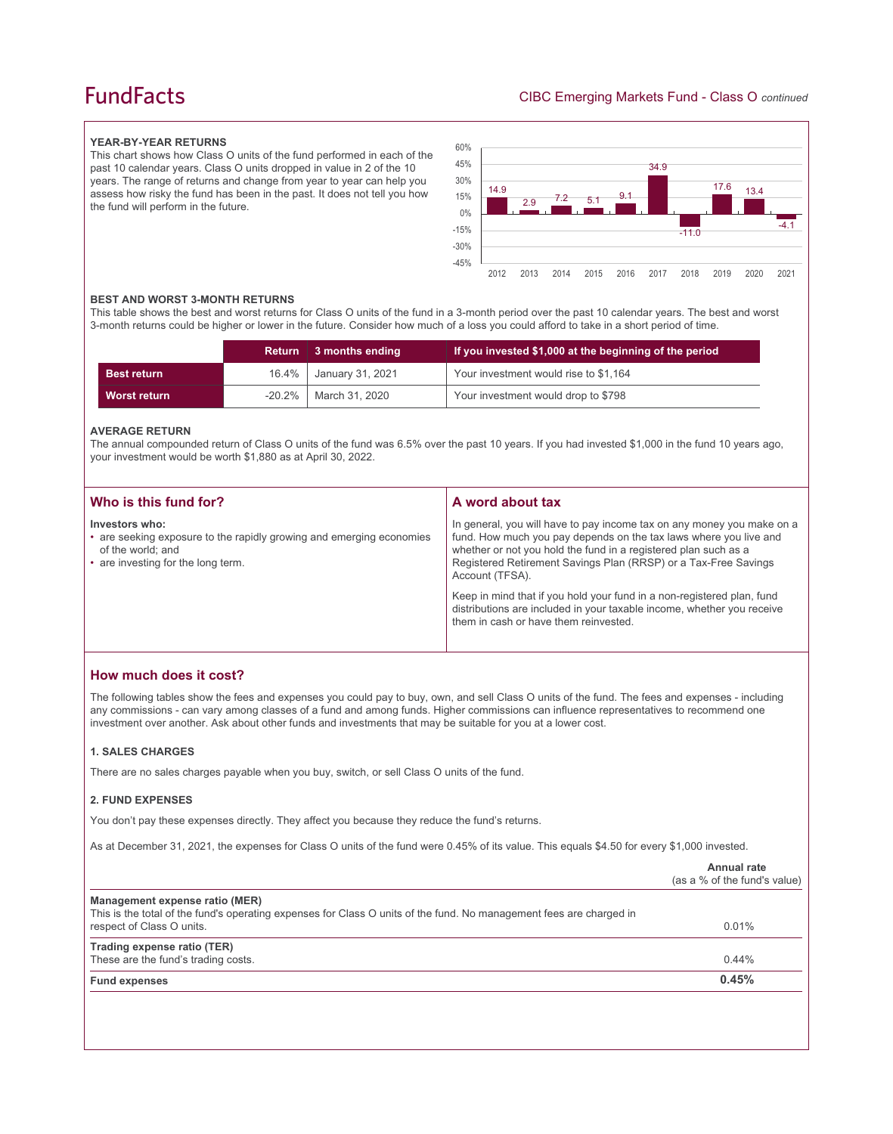## **FundFacts**

#### **YEAR-BY-YEAR RETURNS**

This chart shows how Class O units of the fund performed in each of the past 10 calendar years. Class O units dropped in value in 2 of the 10 years. The range of returns and change from year to year can help you assess how risky the fund has been in the past. It does not tell you how the fund will perform in the future.



#### **BEST AND WORST 3-MONTH RETURNS**

This table shows the best and worst returns for Class O units of the fund in a 3-month period over the past 10 calendar years. The best and worst 3-month returns could be higher or lower in the future. Consider how much of a loss you could afford to take in a short period of time.

|                    | Return | 3 months ending  | If you invested \$1,000 at the beginning of the period |
|--------------------|--------|------------------|--------------------------------------------------------|
| <b>Best return</b> | 16.4%  | January 31, 2021 | Your investment would rise to \$1,164                  |
| Worst return       | -20.2% | March 31, 2020   | Your investment would drop to \$798                    |

#### **AVERAGE RETURN**

The annual compounded return of Class O units of the fund was 6.5% over the past 10 years. If you had invested \$1,000 in the fund 10 years ago, your investment would be worth \$1,880 as at April 30, 2022.

| Who is this fund for?                                                                                                                             | A word about tax                                                                                                                                                                                                                                                                                                                                                                                                                                                                                  |
|---------------------------------------------------------------------------------------------------------------------------------------------------|---------------------------------------------------------------------------------------------------------------------------------------------------------------------------------------------------------------------------------------------------------------------------------------------------------------------------------------------------------------------------------------------------------------------------------------------------------------------------------------------------|
| Investors who:<br>• are seeking exposure to the rapidly growing and emerging economies<br>of the world; and<br>• are investing for the long term. | In general, you will have to pay income tax on any money you make on a<br>fund. How much you pay depends on the tax laws where you live and<br>whether or not you hold the fund in a registered plan such as a<br>Registered Retirement Savings Plan (RRSP) or a Tax-Free Savings<br>Account (TFSA).<br>Keep in mind that if you hold your fund in a non-registered plan, fund<br>distributions are included in your taxable income, whether you receive<br>them in cash or have them reinvested. |
|                                                                                                                                                   |                                                                                                                                                                                                                                                                                                                                                                                                                                                                                                   |

## **How much does it cost?**

The following tables show the fees and expenses you could pay to buy, own, and sell Class O units of the fund. The fees and expenses - including any commissions - can vary among classes of a fund and among funds. Higher commissions can influence representatives to recommend one investment over another. Ask about other funds and investments that may be suitable for you at a lower cost.

#### **1. SALES CHARGES**

There are no sales charges payable when you buy, switch, or sell Class O units of the fund.

#### **2. FUND EXPENSES**

You don't pay these expenses directly. They affect you because they reduce the fund's returns.

As at December 31, 2021, the expenses for Class O units of the fund were 0.45% of its value. This equals \$4.50 for every \$1,000 invested.

|                                                                                                                                                                                    | Annual rate<br>(as a % of the fund's value) |
|------------------------------------------------------------------------------------------------------------------------------------------------------------------------------------|---------------------------------------------|
| Management expense ratio (MER)<br>This is the total of the fund's operating expenses for Class O units of the fund. No management fees are charged in<br>respect of Class O units. | 0.01%                                       |
| Trading expense ratio (TER)<br>These are the fund's trading costs.                                                                                                                 | 0.44%                                       |
| <b>Fund expenses</b>                                                                                                                                                               | 0.45%                                       |